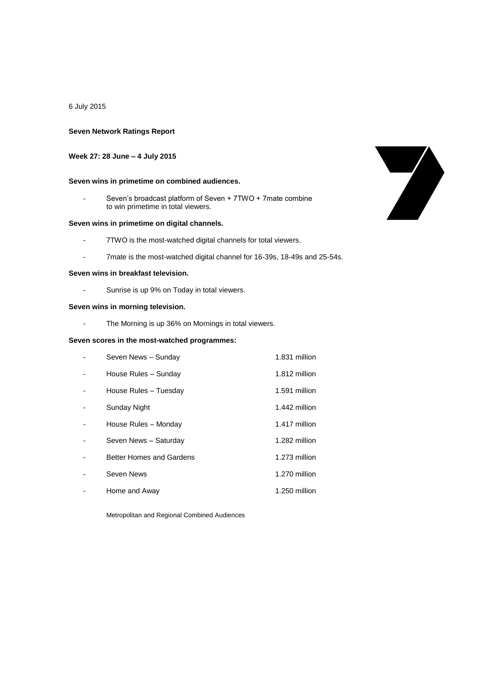6 July 2015

### **Seven Network Ratings Report**

### **Week 27: 28 June – 4 July 2015**

### **Seven wins in primetime on combined audiences.**

- Seven's broadcast platform of Seven + 7TWO + 7mate combine to win primetime in total viewers.

## **Seven wins in primetime on digital channels.**

- 7TWO is the most-watched digital channels for total viewers.
- 7mate is the most-watched digital channel for 16-39s, 18-49s and 25-54s.

## **Seven wins in breakfast television.**

Sunrise is up 9% on Today in total viewers.

### **Seven wins in morning television.**

- The Morning is up 36% on Mornings in total viewers.

## **Seven scores in the most-watched programmes:**

| Seven News - Sunday             | 1.831 million |
|---------------------------------|---------------|
| House Rules - Sunday            | 1.812 million |
| House Rules - Tuesday           | 1.591 million |
| Sunday Night                    | 1.442 million |
| House Rules - Monday            | 1.417 million |
| Seven News - Saturday           | 1.282 million |
| <b>Better Homes and Gardens</b> | 1.273 million |
| Seven News                      | 1.270 million |
| Home and Away                   | 1.250 million |

Metropolitan and Regional Combined Audiences

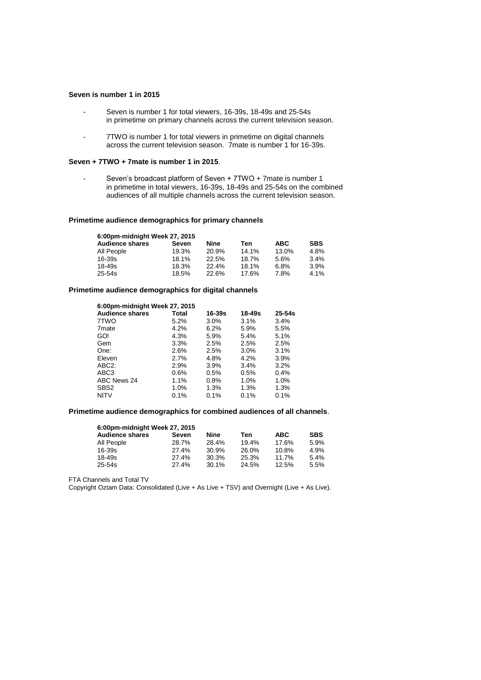#### **Seven is number 1 in 2015**

- Seven is number 1 for total viewers, 16-39s, 18-49s and 25-54s in primetime on primary channels across the current television season.
- 7TWO is number 1 for total viewers in primetime on digital channels across the current television season. 7mate is number 1 for 16-39s.

#### **Seven + 7TWO + 7mate is number 1 in 2015**.

- Seven's broadcast platform of Seven + 7TWO + 7mate is number 1 in primetime in total viewers, 16-39s, 18-49s and 25-54s on the combined audiences of all multiple channels across the current television season.

### **Primetime audience demographics for primary channels**

| 6:00pm-midnight Week 27, 2015 |       |       |       |            |            |
|-------------------------------|-------|-------|-------|------------|------------|
| <b>Audience shares</b>        | Seven | Nine  | Ten   | <b>ABC</b> | <b>SBS</b> |
| All People                    | 19.3% | 20.9% | 14.1% | 13.0%      | 4.8%       |
| 16-39s                        | 18.1% | 22.5% | 18.7% | 5.6%       | 3.4%       |
| 18-49s                        | 18.3% | 22.4% | 18.1% | 6.8%       | 3.9%       |
| 25-54s                        | 18.5% | 22.6% | 17.6% | 7.8%       | 4.1%       |

## **Primetime audience demographics for digital channels**

| 6:00pm-midnight Week 27, 2015 |         |            |            |            |  |
|-------------------------------|---------|------------|------------|------------|--|
| <b>Audience shares</b>        | Total   | $16 - 39s$ | $18 - 49s$ | $25 - 54s$ |  |
| 7TWO                          | 5.2%    | $3.0\%$    | 3.1%       | 3.4%       |  |
| 7 <sub>mate</sub>             | 4.2%    | $6.2\%$    | 5.9%       | 5.5%       |  |
| GO!                           | 4.3%    | 5.9%       | 5.4%       | 5.1%       |  |
| Gem                           | 3.3%    | 2.5%       | 2.5%       | 2.5%       |  |
| One:                          | 2.6%    | 2.5%       | 3.0%       | 3.1%       |  |
| Eleven                        | 2.7%    | 4.8%       | 4.2%       | 3.9%       |  |
| ABC <sub>2</sub> :            | 2.9%    | $3.9\%$    | 3.4%       | 3.2%       |  |
| ABC <sub>3</sub>              | $0.6\%$ | 0.5%       | 0.5%       | 0.4%       |  |
| ABC News 24                   | $1.1\%$ | $0.8\%$    | 1.0%       | 1.0%       |  |
| SBS <sub>2</sub>              | $1.0\%$ | $1.3\%$    | 1.3%       | 1.3%       |  |
| <b>NITV</b>                   | 0.1%    | 0.1%       | 0.1%       | 0.1%       |  |

### **Primetime audience demographics for combined audiences of all channels**.

| 6:00pm-midnight Week 27, 2015 |       |       |            |            |  |
|-------------------------------|-------|-------|------------|------------|--|
| Seven                         | Nine  | Ten   | <b>ABC</b> | <b>SBS</b> |  |
| 28.7%                         | 28.4% | 19.4% | 17.6%      | 5.9%       |  |
| 27.4%                         | 30.9% | 26.0% | 10.8%      | 4.9%       |  |
| 27.4%                         | 30.3% | 25.3% | 11.7%      | 5.4%       |  |
| 27.4%                         | 30.1% | 24.5% | 12.5%      | 5.5%       |  |
|                               |       |       |            |            |  |

FTA Channels and Total TV

Copyright Oztam Data: Consolidated (Live + As Live + TSV) and Overnight (Live + As Live).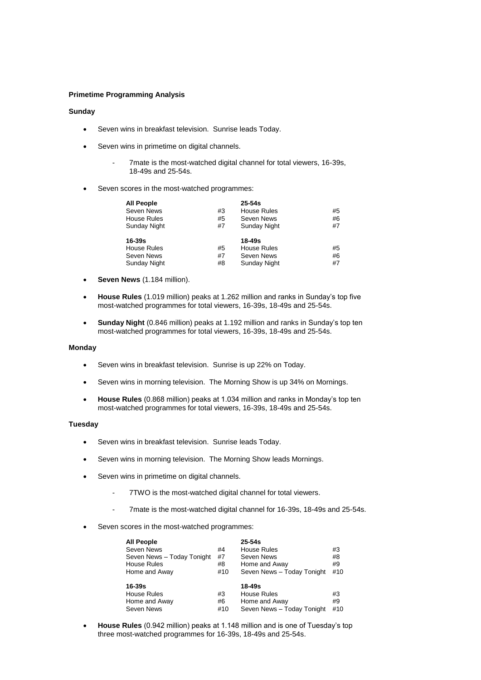## **Primetime Programming Analysis**

# **Sunday**

- Seven wins in breakfast television. Sunrise leads Today.
- Seven wins in primetime on digital channels.
	- 7mate is the most-watched digital channel for total viewers, 16-39s, 18-49s and 25-54s.
- Seven scores in the most-watched programmes:

| <b>All People</b>  |    | $25 - 54s$         |    |
|--------------------|----|--------------------|----|
| Seven News         | #3 | <b>House Rules</b> | #5 |
| <b>House Rules</b> | #5 | Seven News         | #6 |
| Sunday Night       | #7 | Sunday Night       | #7 |
| $16 - 39s$         |    | 18-49s             |    |
| <b>House Rules</b> | #5 | <b>House Rules</b> | #5 |
| Seven News         | #7 | Seven News         | #6 |
| Sunday Night       | #8 | Sunday Night       | #7 |

- **Seven News** (1.184 million).
- **House Rules** (1.019 million) peaks at 1.262 million and ranks in Sunday's top five most-watched programmes for total viewers, 16-39s, 18-49s and 25-54s.
- **Sunday Night** (0.846 million) peaks at 1.192 million and ranks in Sunday's top ten most-watched programmes for total viewers, 16-39s, 18-49s and 25-54s.

#### **Monday**

- Seven wins in breakfast television. Sunrise is up 22% on Today.
- Seven wins in morning television. The Morning Show is up 34% on Mornings.
- **House Rules** (0.868 million) peaks at 1.034 million and ranks in Monday's top ten most-watched programmes for total viewers, 16-39s, 18-49s and 25-54s.

### **Tuesday**

- Seven wins in breakfast television. Sunrise leads Today.
- Seven wins in morning television. The Morning Show leads Mornings.
- Seven wins in primetime on digital channels.
	- 7TWO is the most-watched digital channel for total viewers.
	- 7mate is the most-watched digital channel for 16-39s, 18-49s and 25-54s.
- Seven scores in the most-watched programmes:

| <b>All People</b>          |     | $25 - 54s$                 |     |
|----------------------------|-----|----------------------------|-----|
| <b>Seven News</b>          | #4  | House Rules                | #3  |
| Seven News - Today Tonight | #7  | Seven News                 | #8  |
| House Rules                | #8  | Home and Away              | #9  |
| Home and Away              | #10 | Seven News - Today Tonight | #10 |
|                            |     |                            |     |
|                            |     |                            |     |
| 16-39s                     |     | 18-49s                     |     |
| House Rules                | #3  | House Rules                | #3  |
| Home and Away              | #6  | Home and Away              | #9  |
| Seven News                 | #10 | Seven News - Today Tonight | #10 |

 **House Rules** (0.942 million) peaks at 1.148 million and is one of Tuesday's top three most-watched programmes for 16-39s, 18-49s and 25-54s.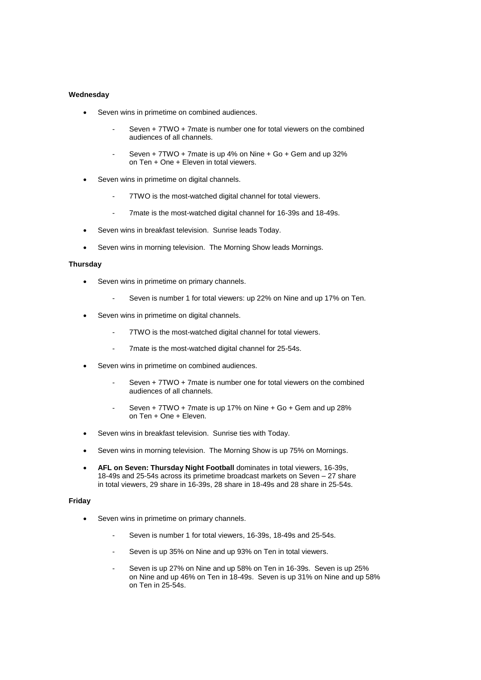## **Wednesday**

- Seven wins in primetime on combined audiences.
	- Seven + 7TWO + 7mate is number one for total viewers on the combined audiences of all channels.
	- Seven  $+ 7TWO + 7$ mate is up  $4%$  on Nine  $+$  Go  $+$  Gem and up 32% on Ten + One + Eleven in total viewers.
- Seven wins in primetime on digital channels.
	- 7TWO is the most-watched digital channel for total viewers.
	- 7mate is the most-watched digital channel for 16-39s and 18-49s.
- Seven wins in breakfast television. Sunrise leads Today.
- Seven wins in morning television. The Morning Show leads Mornings.

## **Thursday**

- Seven wins in primetime on primary channels.
	- Seven is number 1 for total viewers: up 22% on Nine and up 17% on Ten.
- Seven wins in primetime on digital channels.
	- 7TWO is the most-watched digital channel for total viewers.
	- 7mate is the most-watched digital channel for 25-54s.
- Seven wins in primetime on combined audiences.
	- Seven + 7TWO + 7mate is number one for total viewers on the combined audiences of all channels.
	- Seven +  $7TWO + 7$  mate is up 17% on Nine +  $Go + Gem$  and up 28% on Ten + One + Eleven.
- Seven wins in breakfast television. Sunrise ties with Today.
- Seven wins in morning television. The Morning Show is up 75% on Mornings.
- **AFL on Seven: Thursday Night Football** dominates in total viewers, 16-39s, 18-49s and 25-54s across its primetime broadcast markets on Seven – 27 share in total viewers, 29 share in 16-39s, 28 share in 18-49s and 28 share in 25-54s.

## **Friday**

- Seven wins in primetime on primary channels.
	- Seven is number 1 for total viewers, 16-39s, 18-49s and 25-54s.
	- Seven is up 35% on Nine and up 93% on Ten in total viewers.
	- Seven is up 27% on Nine and up 58% on Ten in 16-39s. Seven is up 25% on Nine and up 46% on Ten in 18-49s. Seven is up 31% on Nine and up 58% on Ten in 25-54s.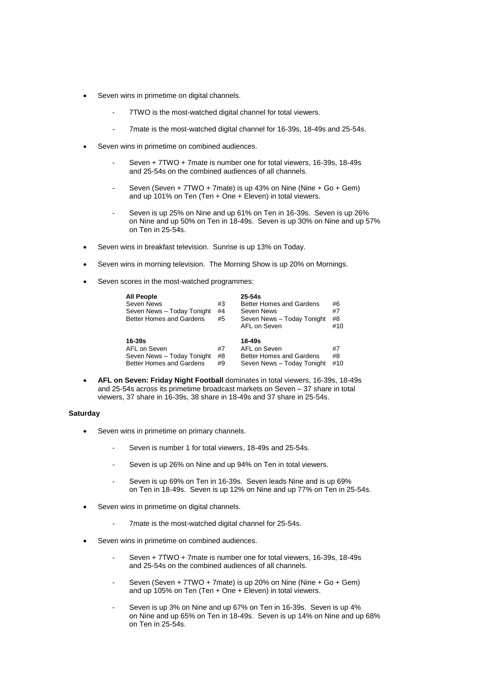- Seven wins in primetime on digital channels.
	- 7TWO is the most-watched digital channel for total viewers.
	- 7mate is the most-watched digital channel for 16-39s, 18-49s and 25-54s.
- Seven wins in primetime on combined audiences.
	- Seven + 7TWO + 7mate is number one for total viewers, 16-39s, 18-49s and 25-54s on the combined audiences of all channels.
	- Seven (Seven + 7TWO + 7mate) is up 43% on Nine (Nine + Go + Gem) and up 101% on Ten (Ten + One + Eleven) in total viewers.
	- Seven is up 25% on Nine and up 61% on Ten in 16-39s. Seven is up 26% on Nine and up 50% on Ten in 18-49s. Seven is up 30% on Nine and up 57% on Ten in 25-54s.
- Seven wins in breakfast television. Sunrise is up 13% on Today.
- Seven wins in morning television. The Morning Show is up 20% on Mornings.
- Seven scores in the most-watched programmes:

| <b>All People</b><br>Seven News<br>Seven News - Today Tonight<br>Better Homes and Gardens | #3<br>#4<br>#5 | $25 - 54s$<br>Better Homes and Gardens<br>Seven News<br>Seven News - Today Tonight<br>AFL on Seven | #6<br>#7<br>#8<br>#10 |
|-------------------------------------------------------------------------------------------|----------------|----------------------------------------------------------------------------------------------------|-----------------------|
| $16 - 39s$<br>AFL on Seven<br>Seven News - Today Tonight<br>Better Homes and Gardens      | #7<br>#8<br>#9 | 18-49s<br>AFL on Seven<br>Better Homes and Gardens<br>Seven News - Today Tonight                   | #7<br>#8<br>#10       |

 **AFL on Seven: Friday Night Football** dominates in total viewers, 16-39s, 18-49s and 25-54s across its primetime broadcast markets on Seven – 37 share in total viewers, 37 share in 16-39s, 38 share in 18-49s and 37 share in 25-54s.

## **Saturday**

- Seven wins in primetime on primary channels.
	- Seven is number 1 for total viewers, 18-49s and 25-54s.
	- Seven is up 26% on Nine and up 94% on Ten in total viewers.
	- Seven is up 69% on Ten in 16-39s. Seven leads Nine and is up 69% on Ten in 18-49s. Seven is up 12% on Nine and up 77% on Ten in 25-54s.
- Seven wins in primetime on digital channels.
	- 7mate is the most-watched digital channel for 25-54s.
- Seven wins in primetime on combined audiences.
	- Seven + 7TWO + 7mate is number one for total viewers, 16-39s, 18-49s and 25-54s on the combined audiences of all channels.
	- Seven (Seven + 7TWO + 7mate) is up 20% on Nine (Nine + Go + Gem) and up 105% on Ten (Ten + One + Eleven) in total viewers.
	- Seven is up 3% on Nine and up 67% on Ten in 16-39s. Seven is up 4% on Nine and up 65% on Ten in 18-49s. Seven is up 14% on Nine and up 68% on Ten in 25-54s.